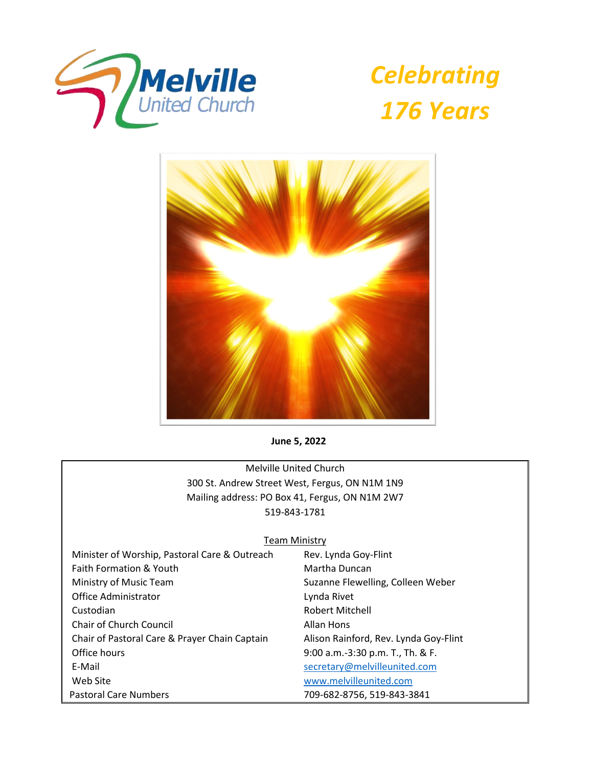





**June 5, 2022**

Melville United Church 300 St. Andrew Street West, Fergus, ON N1M 1N9 Mailing address: PO Box 41, Fergus, ON N1M 2W7 519-843-1781

#### Team Ministry

| Minister of Worship, Pastoral Care & Outreach | Rev. Lynda Goy-Flint                  |  |
|-----------------------------------------------|---------------------------------------|--|
| Faith Formation & Youth                       | Martha Duncan                         |  |
| Ministry of Music Team                        | Suzanne Flewelling, Colleen Weber     |  |
| Office Administrator                          | Lynda Rivet                           |  |
| Custodian                                     | <b>Robert Mitchell</b>                |  |
| <b>Chair of Church Council</b>                | Allan Hons                            |  |
| Chair of Pastoral Care & Prayer Chain Captain | Alison Rainford, Rev. Lynda Goy-Flint |  |
| Office hours                                  | 9:00 a.m.-3:30 p.m. T., Th. & F.      |  |
| E-Mail                                        | secretary@melvilleunited.com          |  |
| Web Site                                      | www.melvilleunited.com                |  |
| <b>Pastoral Care Numbers</b>                  | 709-682-8756, 519-843-3841            |  |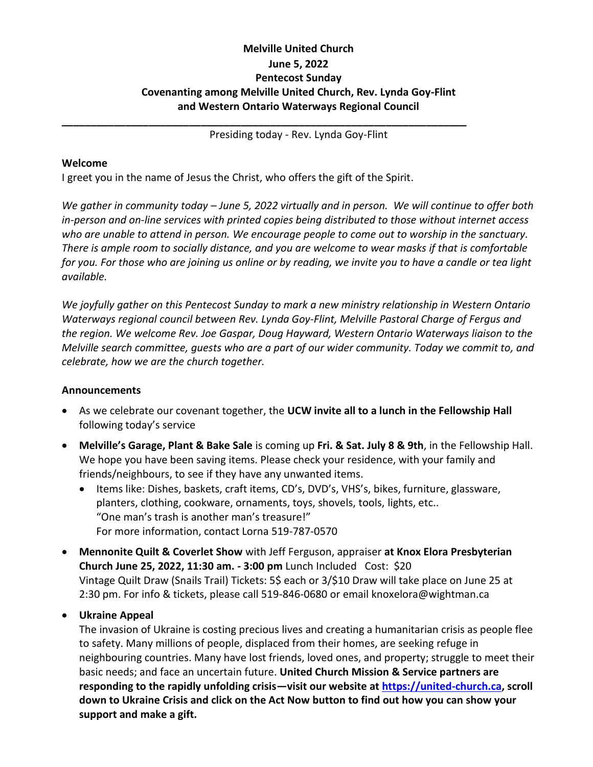# **Melville United Church June 5, 2022 Pentecost Sunday Covenanting among Melville United Church, Rev. Lynda Goy-Flint and Western Ontario Waterways Regional Council**

Presiding today - Rev. Lynda Goy-Flint

#### **Welcome**

I greet you in the name of Jesus the Christ, who offers the gift of the Spirit.

**\_\_\_\_\_\_\_\_\_\_\_\_\_\_\_\_\_\_\_\_\_\_\_\_\_\_\_\_\_\_\_\_\_\_\_\_\_\_\_\_\_\_\_\_\_\_\_\_\_\_\_\_\_\_\_\_\_\_\_\_\_\_\_\_\_\_\_\_\_\_**

*We gather in community today – June 5, 2022 virtually and in person. We will continue to offer both in-person and on-line services with printed copies being distributed to those without internet access who are unable to attend in person. We encourage people to come out to worship in the sanctuary. There is ample room to socially distance, and you are welcome to wear masks if that is comfortable for you. For those who are joining us online or by reading, we invite you to have a candle or tea light available.*

*We joyfully gather on this Pentecost Sunday to mark a new ministry relationship in Western Ontario Waterways regional council between Rev. Lynda Goy-Flint, Melville Pastoral Charge of Fergus and the region. We welcome Rev. Joe Gaspar, Doug Hayward, Western Ontario Waterways liaison to the Melville search committee, guests who are a part of our wider community. Today we commit to, and celebrate, how we are the church together.* 

## **Announcements**

- As we celebrate our covenant together, the **UCW invite all to a lunch in the Fellowship Hall** following today's service
- **Melville's Garage, Plant & Bake Sale** is coming up **Fri. & Sat. July 8 & 9th**, in the Fellowship Hall. We hope you have been saving items. Please check your residence, with your family and friends/neighbours, to see if they have any unwanted items.
	- Items like: Dishes, baskets, craft items, CD's, DVD's, VHS's, bikes, furniture, glassware, planters, clothing, cookware, ornaments, toys, shovels, tools, lights, etc.. "One man's trash is another man's treasure!" For more information, contact Lorna 519-787-0570
- **Mennonite Quilt & Coverlet Show** with Jeff Ferguson, appraiser **at Knox Elora Presbyterian Church June 25, 2022, 11:30 am. - 3:00 pm** Lunch Included Cost: \$20 Vintage Quilt Draw (Snails Trail) Tickets: 5\$ each or 3/\$10 Draw will take place on June 25 at 2:30 pm. For info & tickets, please call 519-846-0680 or email knoxelora@wightman.ca
- **Ukraine Appeal**

The invasion of Ukraine is costing precious lives and creating a humanitarian crisis as people flee to safety. Many millions of people, displaced from their homes, are seeking refuge in neighbouring countries. Many have lost friends, loved ones, and property; struggle to meet their basic needs; and face an uncertain future. **United Church Mission & Service partners are responding to the rapidly unfolding crisis—visit our website at [https://united-church.ca,](https://united-church.ca/) scroll down to Ukraine Crisis and click on the Act Now button to find out how you can show your support and make a gift.**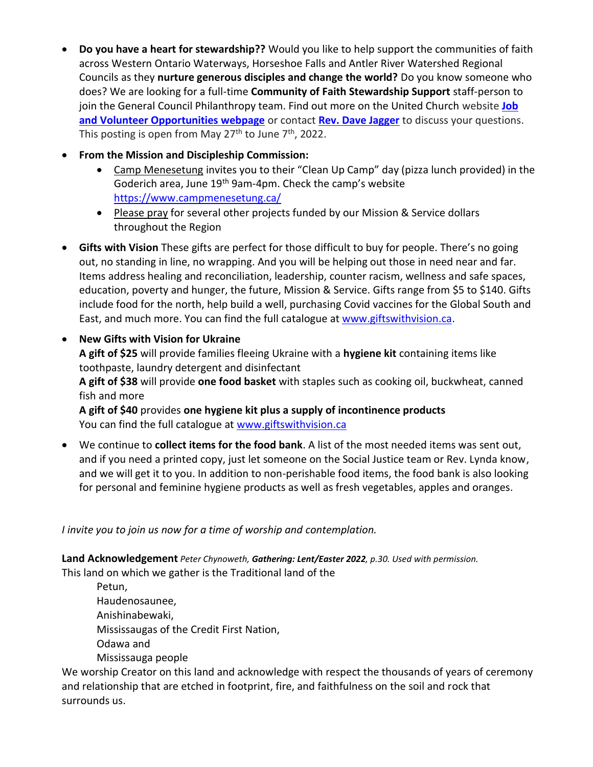- **Do you have a heart for stewardship??** Would you like to help support the communities of faith across Western Ontario Waterways, Horseshoe Falls and Antler River Watershed Regional Councils as they **nurture generous disciples and change the world?** Do you know someone who does? We are looking for a full-time **Community of Faith Stewardship Support** staff-person to join the General Council Philanthropy team. Find out more on the United Church website **[Job](https://wowrcucc.us20.list-manage.com/track/click?u=ee15470ca4eab124ea964929b&id=39f0ab65c6&e=1e1abc31ab)  [and Volunteer Opportunities webpage](https://wowrcucc.us20.list-manage.com/track/click?u=ee15470ca4eab124ea964929b&id=39f0ab65c6&e=1e1abc31ab)** or contact **[Rev. Dave Jagger](mailto:djagger@united-church.ca?subject=Community%20of%20Faith%20Stewardship%20Support)** to discuss your questions. This posting is open from May  $27<sup>th</sup>$  to June  $7<sup>th</sup>$ , 2022.
- **From the Mission and Discipleship Commission:**
	- Camp Menesetung invites you to their "Clean Up Camp" day (pizza lunch provided) in the Goderich area, June 19<sup>th</sup> 9am-4pm. Check the camp's website <https://www.campmenesetung.ca/>
	- Please pray for several other projects funded by our Mission & Service dollars throughout the Region
- **Gifts with Vision** These gifts are perfect for those difficult to buy for people. There's no going out, no standing in line, no wrapping. And you will be helping out those in need near and far. Items address healing and reconciliation, leadership, counter racism, wellness and safe spaces, education, poverty and hunger, the future, Mission & Service. Gifts range from \$5 to \$140. Gifts include food for the north, help build a well, purchasing Covid vaccines for the Global South and East, and much more. You can find the full catalogue at [www.giftswithvision.ca.](http://www.giftswithvision.ca/)
- **New Gifts with Vision for Ukraine A gift of \$25** will provide families fleeing Ukraine with a **hygiene kit** containing items like toothpaste, laundry detergent and disinfectant **A gift of \$38** will provide **one food basket** with staples such as cooking oil, buckwheat, canned fish and more **A gift of \$40** provides **one hygiene kit plus a supply of incontinence products** You can find the full catalogue at [www.giftswithvision.ca](http://www.giftswithvision.ca/)
- We continue to **collect items for the food bank**. A list of the most needed items was sent out, and if you need a printed copy, just let someone on the Social Justice team or Rev. Lynda know, and we will get it to you. In addition to non-perishable food items, the food bank is also looking for personal and feminine hygiene products as well as fresh vegetables, apples and oranges.

# *I invite you to join us now for a time of worship and contemplation.*

**Land Acknowledgement** *Peter Chynoweth, Gathering: Lent/Easter 2022, p.30. Used with permission.*

This land on which we gather is the Traditional land of the

Petun, Haudenosaunee, Anishinabewaki, Mississaugas of the Credit First Nation, Odawa and Mississauga people

We worship Creator on this land and acknowledge with respect the thousands of years of ceremony and relationship that are etched in footprint, fire, and faithfulness on the soil and rock that surrounds us.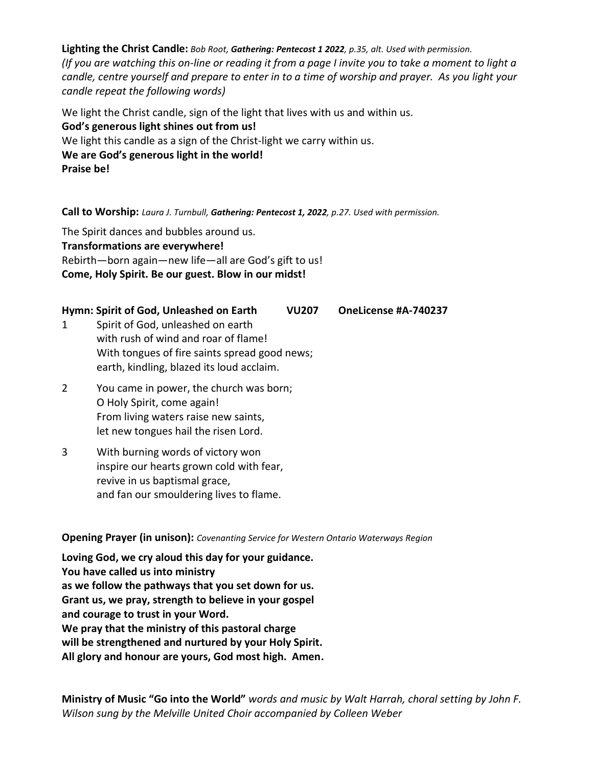**Lighting the Christ Candle:** *Bob Root, Gathering: Pentecost 1 2022, p.35, alt. Used with permission. (If you are watching this on-line or reading it from a page I invite you to take a moment to light a candle, centre yourself and prepare to enter in to a time of worship and prayer. As you light your candle repeat the following words)*

We light the Christ candle, sign of the light that lives with us and within us. **God's generous light shines out from us!** We light this candle as a sign of the Christ-light we carry within us. **We are God's generous light in the world! Praise be!**

**Call to Worship:** *Laura J. Turnbull, Gathering: Pentecost 1, 2022, p.27. Used with permission.*

The Spirit dances and bubbles around us. **Transformations are everywhere!** Rebirth—born again—new life—all are God's gift to us! **Come, Holy Spirit. Be our guest. Blow in our midst!**

| Hymn: Spirit of God, Unleashed on Earth | <b>VU207</b> | OneLicense #A-740237 |
|-----------------------------------------|--------------|----------------------|
|                                         |              |                      |

- 1 Spirit of God, unleashed on earth with rush of wind and roar of flame! With tongues of fire saints spread good news; earth, kindling, blazed its loud acclaim.
- 2 You came in power, the church was born; O Holy Spirit, come again! From living waters raise new saints, let new tongues hail the risen Lord.
- 3 With burning words of victory won inspire our hearts grown cold with fear, revive in us baptismal grace, and fan our smouldering lives to flame.

**Opening Prayer (in unison):** *Covenanting Service for Western Ontario Waterways Region*

**Loving God, we cry aloud this day for your guidance. You have called us into ministry as we follow the pathways that you set down for us. Grant us, we pray, strength to believe in your gospel and courage to trust in your Word. We pray that the ministry of this pastoral charge will be strengthened and nurtured by your Holy Spirit. All glory and honour are yours, God most high. Amen.**

**Ministry of Music "Go into the World"** *words and music by Walt Harrah, choral setting by John F. Wilson sung by the Melville United Choir accompanied by Colleen Weber*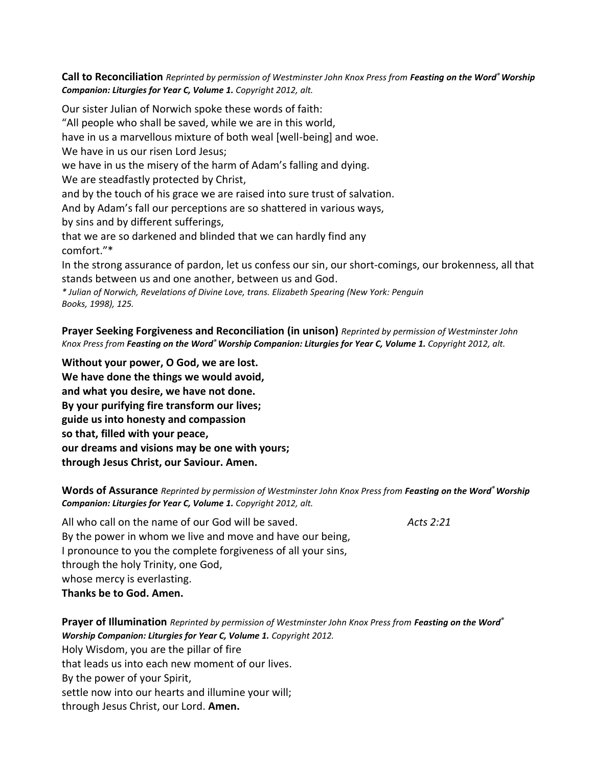**Call to Reconciliation** *Reprinted by permission of Westminster John Knox Press from Feasting on the Word® Worship Companion: Liturgies for Year C, Volume 1. Copyright 2012, alt.*

Our sister Julian of Norwich spoke these words of faith: "All people who shall be saved, while we are in this world, have in us a marvellous mixture of both weal [well-being] and woe. We have in us our risen Lord Jesus; we have in us the misery of the harm of Adam's falling and dying. We are steadfastly protected by Christ, and by the touch of his grace we are raised into sure trust of salvation. And by Adam's fall our perceptions are so shattered in various ways, by sins and by different sufferings, that we are so darkened and blinded that we can hardly find any comfort."\* In the strong assurance of pardon, let us confess our sin, our short-comings, our brokenness, all that stands between us and one another, between us and God. *\* Julian of Norwich, Revelations of Divine Love, trans. Elizabeth Spearing (New York: Penguin Books, 1998), 125.*

**Prayer Seeking Forgiveness and Reconciliation (in unison)** *Reprinted by permission of Westminster John Knox Press from Feasting on the Word® Worship Companion: Liturgies for Year C, Volume 1. Copyright 2012, alt.*

**Without your power, O God, we are lost. We have done the things we would avoid, and what you desire, we have not done. By your purifying fire transform our lives; guide us into honesty and compassion so that, filled with your peace, our dreams and visions may be one with yours; through Jesus Christ, our Saviour. Amen.**

**Words of Assurance** *Reprinted by permission of Westminster John Knox Press from Feasting on the Word® Worship Companion: Liturgies for Year C, Volume 1. Copyright 2012, alt.*

All who call on the name of our God will be saved. *Acts 2:21* By the power in whom we live and move and have our being, I pronounce to you the complete forgiveness of all your sins, through the holy Trinity, one God, whose mercy is everlasting. **Thanks be to God. Amen.**

**Prayer of Illumination** *Reprinted by permission of Westminster John Knox Press from Feasting on the Word® Worship Companion: Liturgies for Year C, Volume 1. Copyright 2012.* Holy Wisdom, you are the pillar of fire that leads us into each new moment of our lives. By the power of your Spirit, settle now into our hearts and illumine your will; through Jesus Christ, our Lord. **Amen.**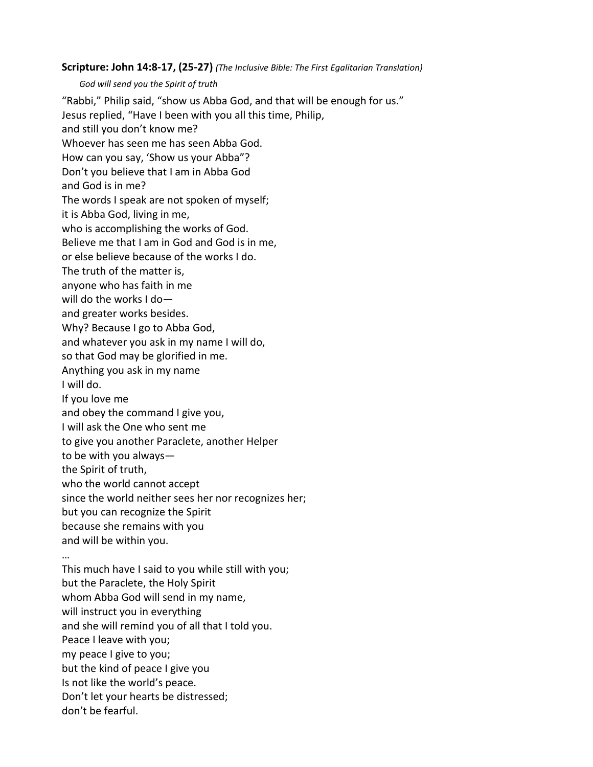#### **Scripture: John 14:8-17, (25-27)** *(The Inclusive Bible: The First Egalitarian Translation)*

#### *God will send you the Spirit of truth*

"Rabbi," Philip said, "show us Abba God, and that will be enough for us." Jesus replied, "Have I been with you all this time, Philip, and still you don't know me? Whoever has seen me has seen Abba God. How can you say, 'Show us your Abba"? Don't you believe that I am in Abba God and God is in me? The words I speak are not spoken of myself; it is Abba God, living in me, who is accomplishing the works of God. Believe me that I am in God and God is in me, or else believe because of the works I do. The truth of the matter is, anyone who has faith in me will do the works I do and greater works besides. Why? Because I go to Abba God, and whatever you ask in my name I will do, so that God may be glorified in me. Anything you ask in my name I will do. If you love me and obey the command I give you, I will ask the One who sent me to give you another Paraclete, another Helper to be with you always the Spirit of truth, who the world cannot accept since the world neither sees her nor recognizes her; but you can recognize the Spirit because she remains with you and will be within you. … This much have I said to you while still with you; but the Paraclete, the Holy Spirit whom Abba God will send in my name, will instruct you in everything and she will remind you of all that I told you. Peace I leave with you; my peace I give to you; but the kind of peace I give you Is not like the world's peace. Don't let your hearts be distressed; don't be fearful.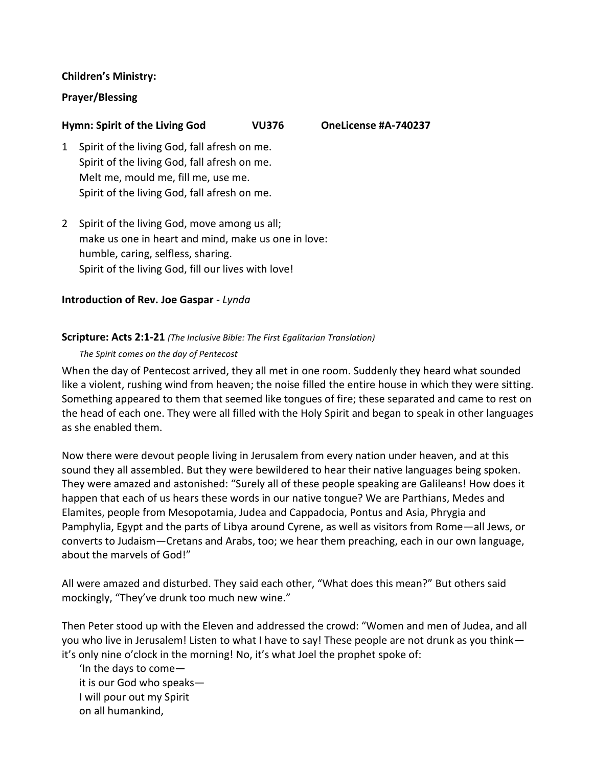## **Children's Ministry:**

#### **Prayer/Blessing**

## **Hymn: Spirit of the Living God VU376 OneLicense #A-740237**

- 1 Spirit of the living God, fall afresh on me. Spirit of the living God, fall afresh on me. Melt me, mould me, fill me, use me. Spirit of the living God, fall afresh on me.
- 2 Spirit of the living God, move among us all; make us one in heart and mind, make us one in love: humble, caring, selfless, sharing. Spirit of the living God, fill our lives with love!

## **Introduction of Rev. Joe Gaspar** *- Lynda*

#### **Scripture: Acts 2:1-21** *(The Inclusive Bible: The First Egalitarian Translation)*

#### *The Spirit comes on the day of Pentecost*

When the day of Pentecost arrived, they all met in one room. Suddenly they heard what sounded like a violent, rushing wind from heaven; the noise filled the entire house in which they were sitting. Something appeared to them that seemed like tongues of fire; these separated and came to rest on the head of each one. They were all filled with the Holy Spirit and began to speak in other languages as she enabled them.

Now there were devout people living in Jerusalem from every nation under heaven, and at this sound they all assembled. But they were bewildered to hear their native languages being spoken. They were amazed and astonished: "Surely all of these people speaking are Galileans! How does it happen that each of us hears these words in our native tongue? We are Parthians, Medes and Elamites, people from Mesopotamia, Judea and Cappadocia, Pontus and Asia, Phrygia and Pamphylia, Egypt and the parts of Libya around Cyrene, as well as visitors from Rome—all Jews, or converts to Judaism—Cretans and Arabs, too; we hear them preaching, each in our own language, about the marvels of God!"

All were amazed and disturbed. They said each other, "What does this mean?" But others said mockingly, "They've drunk too much new wine."

Then Peter stood up with the Eleven and addressed the crowd: "Women and men of Judea, and all you who live in Jerusalem! Listen to what I have to say! These people are not drunk as you think it's only nine o'clock in the morning! No, it's what Joel the prophet spoke of:

'In the days to come it is our God who speaks— I will pour out my Spirit on all humankind,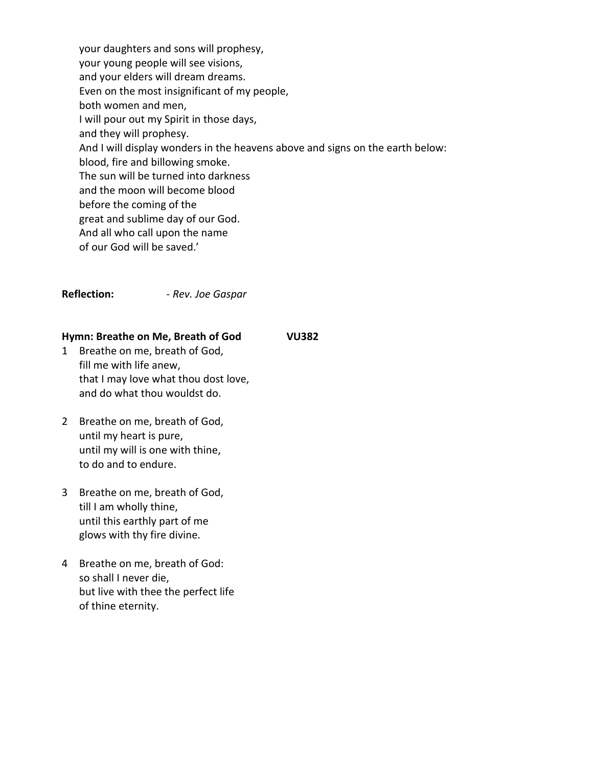your daughters and sons will prophesy, your young people will see visions, and your elders will dream dreams. Even on the most insignificant of my people, both women and men, I will pour out my Spirit in those days, and they will prophesy. And I will display wonders in the heavens above and signs on the earth below: blood, fire and billowing smoke. The sun will be turned into darkness and the moon will become blood before the coming of the great and sublime day of our God. And all who call upon the name of our God will be saved.'

#### **Reflection:** *- Rev. Joe Gaspar*

#### **Hymn: Breathe on Me, Breath of God VU382**

1 Breathe on me, breath of God, fill me with life anew, that I may love what thou dost love, and do what thou wouldst do.

- 2 Breathe on me, breath of God, until my heart is pure, until my will is one with thine, to do and to endure.
- 3 Breathe on me, breath of God, till I am wholly thine, until this earthly part of me glows with thy fire divine.
- 4 Breathe on me, breath of God: so shall I never die, but live with thee the perfect life of thine eternity.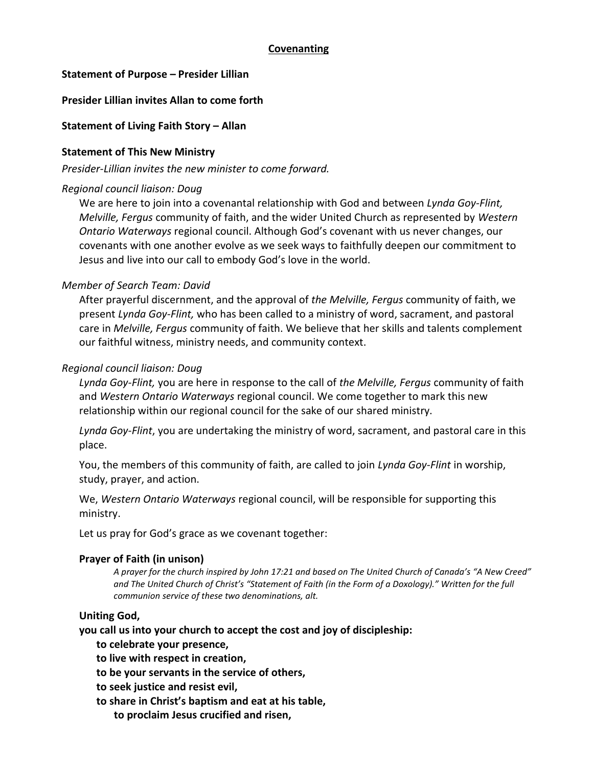## **Covenanting**

## **Statement of Purpose – Presider Lillian**

## **Presider Lillian invites Allan to come forth**

## **Statement of Living Faith Story – Allan**

## **Statement of This New Ministry**

## *Presider-Lillian invites the new minister to come forward.*

## *Regional council liaison: Doug*

We are here to join into a covenantal relationship with God and between *Lynda Goy-Flint, Melville, Fergus* community of faith, and the wider United Church as represented by *Western Ontario Waterways* regional council. Although God's covenant with us never changes, our covenants with one another evolve as we seek ways to faithfully deepen our commitment to Jesus and live into our call to embody God's love in the world.

## *Member of Search Team: David*

After prayerful discernment, and the approval of *the Melville, Fergus* community of faith, we present *Lynda Goy-Flint,* who has been called to a ministry of word, sacrament, and pastoral care in *Melville, Fergus* community of faith. We believe that her skills and talents complement our faithful witness, ministry needs, and community context.

## *Regional council liaison: Doug*

*Lynda Goy-Flint,* you are here in response to the call of *the Melville, Fergus* community of faith and *Western Ontario Waterways* regional council. We come together to mark this new relationship within our regional council for the sake of our shared ministry.

*Lynda Goy-Flint*, you are undertaking the ministry of word, sacrament, and pastoral care in this place.

You, the members of this community of faith, are called to join *Lynda Goy-Flint* in worship, study, prayer, and action.

We, *Western Ontario Waterways* regional council, will be responsible for supporting this ministry.

Let us pray for God's grace as we covenant together:

## **Prayer of Faith (in unison)**

*A prayer for the church inspired by John 17:21 and based on The United Church of Canada's "A New Creed" and The United Church of Christ's "Statement of Faith (in the Form of a Doxology)." Written for the full communion service of these two denominations, alt.*

## **Uniting God,**

## **you call us into your church to accept the cost and joy of discipleship:**

- **to celebrate your presence,**
- **to live with respect in creation,**
- **to be your servants in the service of others,**
- **to seek justice and resist evil,**
- **to share in Christ's baptism and eat at his table,**
	- **to proclaim Jesus crucified and risen,**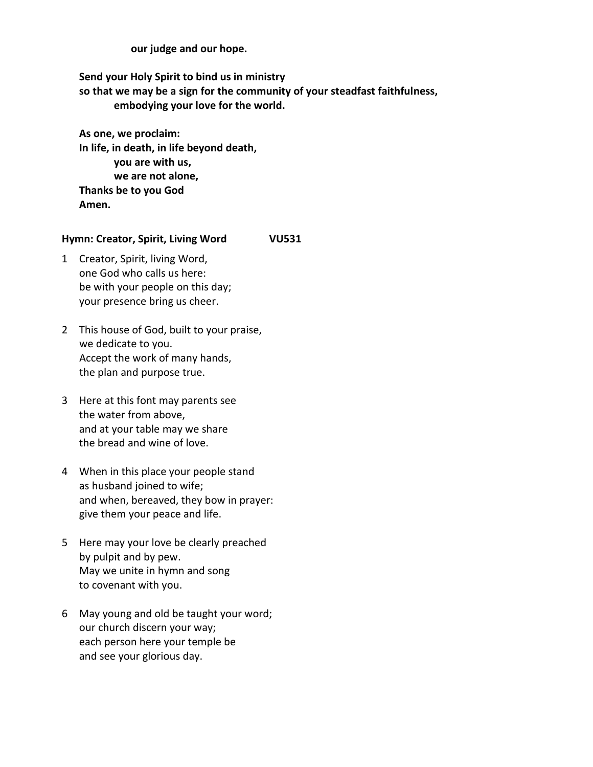**our judge and our hope.**

**Send your Holy Spirit to bind us in ministry so that we may be a sign for the community of your steadfast faithfulness, embodying your love for the world.**

**As one, we proclaim: In life, in death, in life beyond death, you are with us, we are not alone, Thanks be to you God Amen.**

**Hymn: Creator, Spirit, Living Word VU531**

- 1 Creator, Spirit, living Word, one God who calls us here: be with your people on this day; your presence bring us cheer.
- 2 This house of God, built to your praise, we dedicate to you. Accept the work of many hands, the plan and purpose true.
- 3 Here at this font may parents see the water from above, and at your table may we share the bread and wine of love.
- 4 When in this place your people stand as husband joined to wife; and when, bereaved, they bow in prayer: give them your peace and life.
- 5 Here may your love be clearly preached by pulpit and by pew. May we unite in hymn and song to covenant with you.
- 6 May young and old be taught your word; our church discern your way; each person here your temple be and see your glorious day.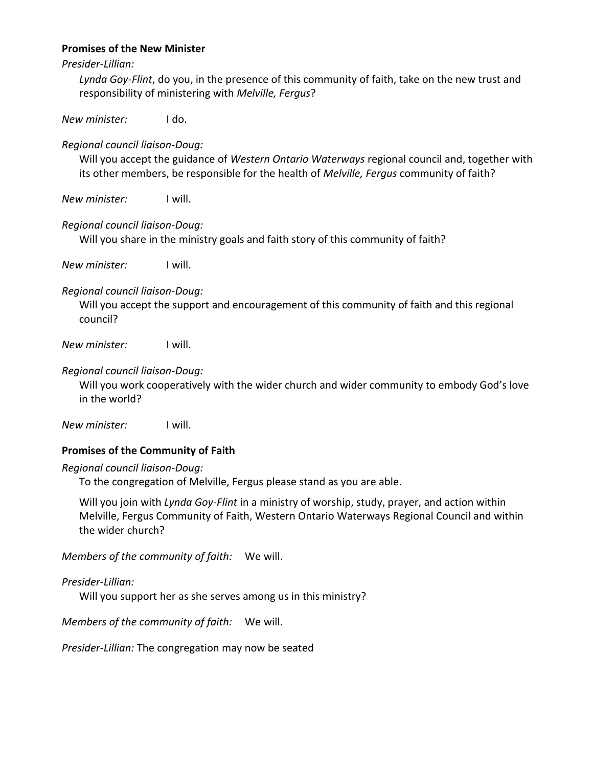#### **Promises of the New Minister**

*Presider-Lillian:*

*Lynda Goy-Flint*, do you, in the presence of this community of faith, take on the new trust and responsibility of ministering with *Melville, Fergus*?

*New minister:* I do.

*Regional council liaison-Doug:*

Will you accept the guidance of *Western Ontario Waterways* regional council and, together with its other members, be responsible for the health of *Melville, Fergus* community of faith?

*New minister:* I will.

#### *Regional council liaison-Doug:*

Will you share in the ministry goals and faith story of this community of faith?

*New minister:* I will.

#### *Regional council liaison-Doug:*

Will you accept the support and encouragement of this community of faith and this regional council?

*New minister:* I will.

#### *Regional council liaison-Doug:*

Will you work cooperatively with the wider church and wider community to embody God's love in the world?

*New minister:* I will.

## **Promises of the Community of Faith**

## *Regional council liaison-Doug:*

To the congregation of Melville, Fergus please stand as you are able.

Will you join with *Lynda Goy-Flint* in a ministry of worship, study, prayer, and action within Melville, Fergus Community of Faith, Western Ontario Waterways Regional Council and within the wider church?

*Members of the community of faith:* We will.

## *Presider-Lillian:*

Will you support her as she serves among us in this ministry?

*Members of the community of faith:* We will.

*Presider-Lillian:* The congregation may now be seated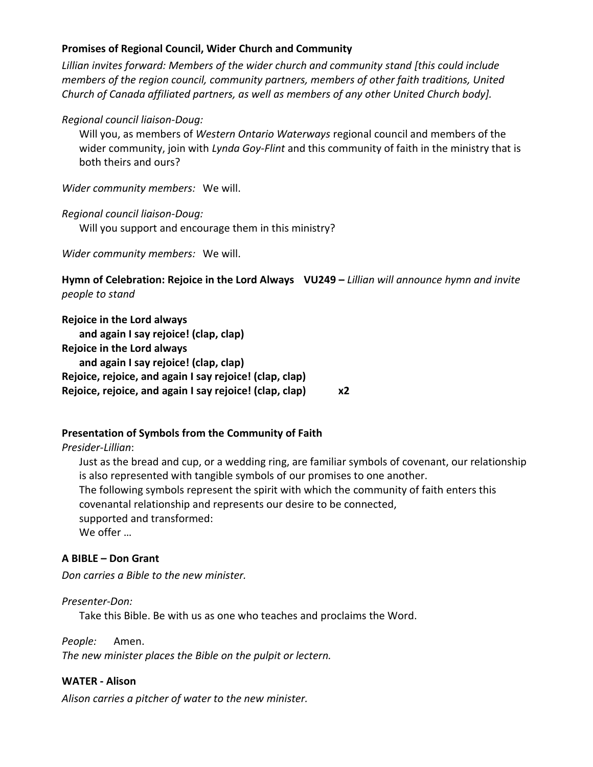## **Promises of Regional Council, Wider Church and Community**

*Lillian invites forward: Members of the wider church and community stand [this could include members of the region council, community partners, members of other faith traditions, United Church of Canada affiliated partners, as well as members of any other United Church body].*

## *Regional council liaison-Doug:*

Will you, as members of *Western Ontario Waterways* regional council and members of the wider community, join with *Lynda Goy-Flint* and this community of faith in the ministry that is both theirs and ours?

*Wider community members:* We will.

#### *Regional council liaison-Doug:*

Will you support and encourage them in this ministry?

*Wider community members:* We will.

**Hymn of Celebration: Rejoice in the Lord Always VU249 –** *Lillian will announce hymn and invite people to stand*

**Rejoice in the Lord always and again I say rejoice! (clap, clap) Rejoice in the Lord always and again I say rejoice! (clap, clap) Rejoice, rejoice, and again I say rejoice! (clap, clap) Rejoice, rejoice, and again I say rejoice! (clap, clap) x2**

## **Presentation of Symbols from the Community of Faith**

*Presider-Lillian*:

Just as the bread and cup, or a wedding ring, are familiar symbols of covenant, our relationship is also represented with tangible symbols of our promises to one another. The following symbols represent the spirit with which the community of faith enters this covenantal relationship and represents our desire to be connected,

supported and transformed:

We offer …

## **A BIBLE – Don Grant**

*Don carries a Bible to the new minister.*

#### *Presenter-Don:*

Take this Bible. Be with us as one who teaches and proclaims the Word.

*People:* Amen.

*The new minister places the Bible on the pulpit or lectern.* 

## **WATER - Alison**

*Alison carries a pitcher of water to the new minister.*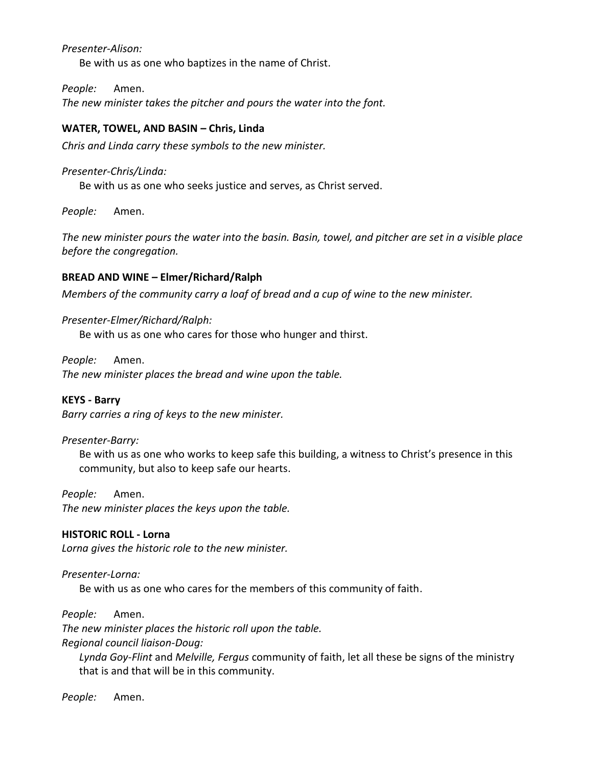*Presenter-Alison:*

Be with us as one who baptizes in the name of Christ.

*People:* Amen. *The new minister takes the pitcher and pours the water into the font.* 

## **WATER, TOWEL, AND BASIN – Chris, Linda**

*Chris and Linda carry these symbols to the new minister.*

#### *Presenter-Chris/Linda:*

Be with us as one who seeks justice and serves, as Christ served.

*People:* Amen.

*The new minister pours the water into the basin. Basin, towel, and pitcher are set in a visible place before the congregation.*

## **BREAD AND WINE – Elmer/Richard/Ralph**

*Members of the community carry a loaf of bread and a cup of wine to the new minister.*

#### *Presenter-Elmer/Richard/Ralph:*

Be with us as one who cares for those who hunger and thirst.

*People:* Amen.

*The new minister places the bread and wine upon the table.*

#### **KEYS - Barry**

*Barry carries a ring of keys to the new minister.*

## *Presenter-Barry:*

Be with us as one who works to keep safe this building, a witness to Christ's presence in this community, but also to keep safe our hearts.

*People:* Amen.

*The new minister places the keys upon the table.*

## **HISTORIC ROLL - Lorna**

*Lorna gives the historic role to the new minister.*

## *Presenter-Lorna:*

Be with us as one who cares for the members of this community of faith.

*People:* Amen.

*The new minister places the historic roll upon the table. Regional council liaison-Doug:*

*Lynda Goy-Flint* and *Melville, Fergus* community of faith, let all these be signs of the ministry that is and that will be in this community.

*People:* Amen.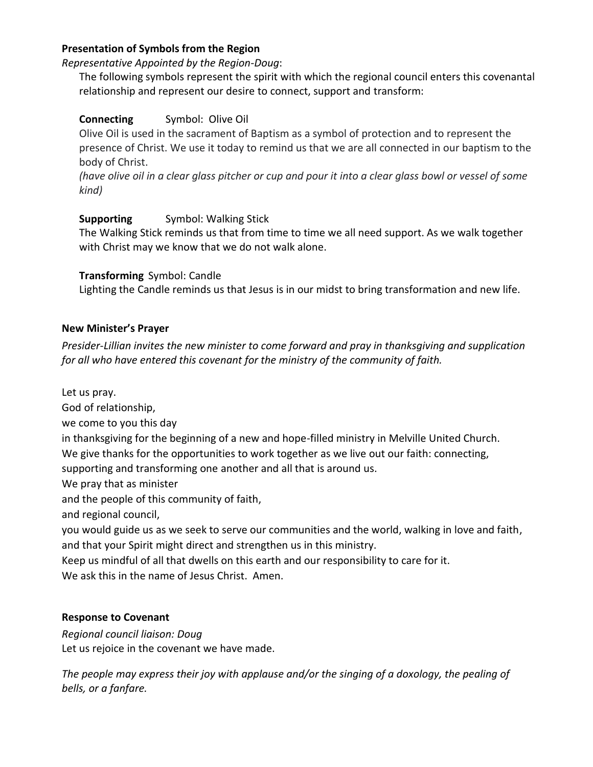## **Presentation of Symbols from the Region**

*Representative Appointed by the Region-Doug*:

The following symbols represent the spirit with which the regional council enters this covenantal relationship and represent our desire to connect, support and transform:

# **Connecting** Symbol: Olive Oil

Olive Oil is used in the sacrament of Baptism as a symbol of protection and to represent the presence of Christ. We use it today to remind us that we are all connected in our baptism to the body of Christ.

*(have olive oil in a clear glass pitcher or cup and pour it into a clear glass bowl or vessel of some kind)*

# **Supporting** Symbol: Walking Stick

The Walking Stick reminds us that from time to time we all need support. As we walk together with Christ may we know that we do not walk alone.

**Transforming** Symbol: Candle

Lighting the Candle reminds us that Jesus is in our midst to bring transformation and new life.

## **New Minister's Prayer**

*Presider-Lillian invites the new minister to come forward and pray in thanksgiving and supplication for all who have entered this covenant for the ministry of the community of faith.*

Let us pray.

God of relationship,

we come to you this day

in thanksgiving for the beginning of a new and hope-filled ministry in Melville United Church.

We give thanks for the opportunities to work together as we live out our faith: connecting,

supporting and transforming one another and all that is around us.

We pray that as minister

and the people of this community of faith,

and regional council,

you would guide us as we seek to serve our communities and the world, walking in love and faith, and that your Spirit might direct and strengthen us in this ministry.

Keep us mindful of all that dwells on this earth and our responsibility to care for it.

We ask this in the name of Jesus Christ. Amen.

## **Response to Covenant**

*Regional council liaison: Doug* Let us rejoice in the covenant we have made.

*The people may express their joy with applause and/or the singing of a doxology, the pealing of bells, or a fanfare.*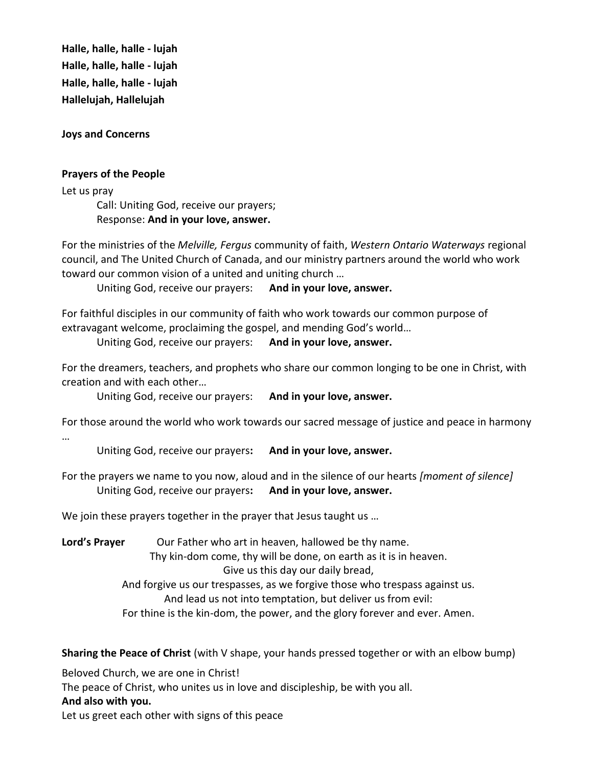**Halle, halle, halle - lujah Halle, halle, halle - lujah Halle, halle, halle - lujah Hallelujah, Hallelujah**

**Joys and Concerns**

#### **Prayers of the People**

Let us pray

Call: Uniting God, receive our prayers; Response: **And in your love, answer.**

For the ministries of the *Melville, Fergus* community of faith, *Western Ontario Waterways* regional council, and The United Church of Canada, and our ministry partners around the world who work toward our common vision of a united and uniting church …

Uniting God, receive our prayers: **And in your love, answer.**

For faithful disciples in our community of faith who work towards our common purpose of extravagant welcome, proclaiming the gospel, and mending God's world…

Uniting God, receive our prayers: **And in your love, answer.**

For the dreamers, teachers, and prophets who share our common longing to be one in Christ, with creation and with each other…

Uniting God, receive our prayers: **And in your love, answer.**

For those around the world who work towards our sacred message of justice and peace in harmony

…

Uniting God, receive our prayers**: And in your love, answer.**

For the prayers we name to you now, aloud and in the silence of our hearts *[moment of silence]* Uniting God, receive our prayers**: And in your love, answer.**

We join these prayers together in the prayer that Jesus taught us ...

Lord's Prayer **Our Father who art in heaven, hallowed be thy name.** Thy kin-dom come, thy will be done, on earth as it is in heaven. Give us this day our daily bread, And forgive us our trespasses, as we forgive those who trespass against us. And lead us not into temptation, but deliver us from evil: For thine is the kin-dom, the power, and the glory forever and ever. Amen.

**Sharing the Peace of Christ** (with V shape, your hands pressed together or with an elbow bump)

Beloved Church, we are one in Christ! The peace of Christ, who unites us in love and discipleship, be with you all. **And also with you.** Let us greet each other with signs of this peace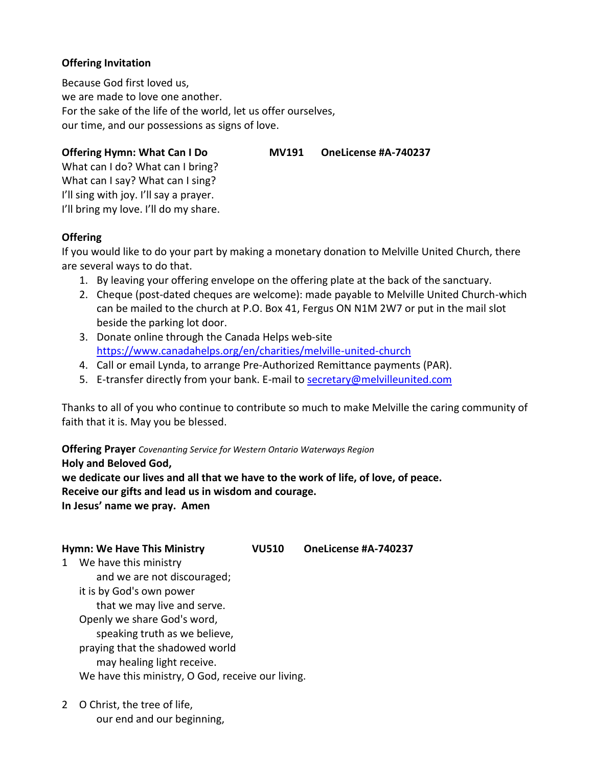## **Offering Invitation**

Because God first loved us, we are made to love one another. For the sake of the life of the world, let us offer ourselves, our time, and our possessions as signs of love.

## **Offering Hymn: What Can I Do MV191 OneLicense #A-740237**

What can I do? What can I bring? What can I say? What can I sing? I'll sing with joy. I'll say a prayer. I'll bring my love. I'll do my share.

## **Offering**

If you would like to do your part by making a monetary donation to Melville United Church, there are several ways to do that.

- 1. By leaving your offering envelope on the offering plate at the back of the sanctuary.
- 2. Cheque (post-dated cheques are welcome): made payable to Melville United Church-which can be mailed to the church at P.O. Box 41, Fergus ON N1M 2W7 or put in the mail slot beside the parking lot door.
- 3. Donate online through the Canada Helps web-site <https://www.canadahelps.org/en/charities/melville-united-church>
- 4. Call or email Lynda, to arrange Pre-Authorized Remittance payments (PAR).
- 5. E-transfer directly from your bank. E-mail to [secretary@melvilleunited.com](mailto:secretary@melvilleunited.com)

Thanks to all of you who continue to contribute so much to make Melville the caring community of faith that it is. May you be blessed.

**Offering Prayer** *Covenanting Service for Western Ontario Waterways Region* **Holy and Beloved God, we dedicate our lives and all that we have to the work of life, of love, of peace. Receive our gifts and lead us in wisdom and courage. In Jesus' name we pray. Amen**

# **Hymn: We Have This Ministry VU510 OneLicense #A-740237**

1 We have this ministry and we are not discouraged; it is by God's own power

that we may live and serve.

Openly we share God's word,

speaking truth as we believe,

praying that the shadowed world

may healing light receive.

We have this ministry, O God, receive our living.

2 O Christ, the tree of life, our end and our beginning,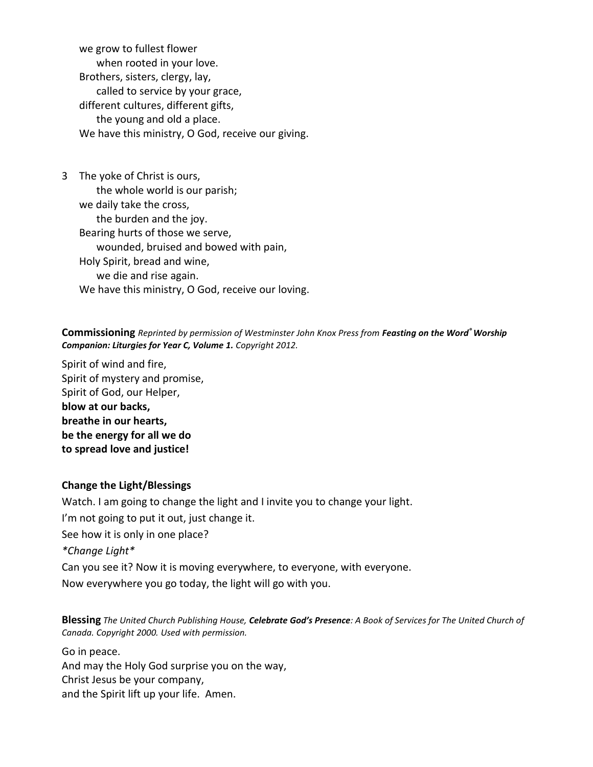we grow to fullest flower when rooted in your love. Brothers, sisters, clergy, lay, called to service by your grace, different cultures, different gifts, the young and old a place. We have this ministry, O God, receive our giving.

3 The yoke of Christ is ours, the whole world is our parish; we daily take the cross, the burden and the joy. Bearing hurts of those we serve, wounded, bruised and bowed with pain, Holy Spirit, bread and wine, we die and rise again. We have this ministry, O God, receive our loving.

#### **Commissioning** *Reprinted by permission of Westminster John Knox Press from Feasting on the Word® Worship Companion: Liturgies for Year C, Volume 1. Copyright 2012.*

Spirit of wind and fire, Spirit of mystery and promise, Spirit of God, our Helper, **blow at our backs, breathe in our hearts, be the energy for all we do to spread love and justice!**

## **Change the Light/Blessings**

Watch. I am going to change the light and I invite you to change your light. I'm not going to put it out, just change it. See how it is only in one place? *\*Change Light\**  Can you see it? Now it is moving everywhere, to everyone, with everyone. Now everywhere you go today, the light will go with you.

**Blessing** *The United Church Publishing House, Celebrate God's Presence: A Book of Services for The United Church of Canada. Copyright 2000. Used with permission.* 

Go in peace. And may the Holy God surprise you on the way, Christ Jesus be your company, and the Spirit lift up your life. Amen.